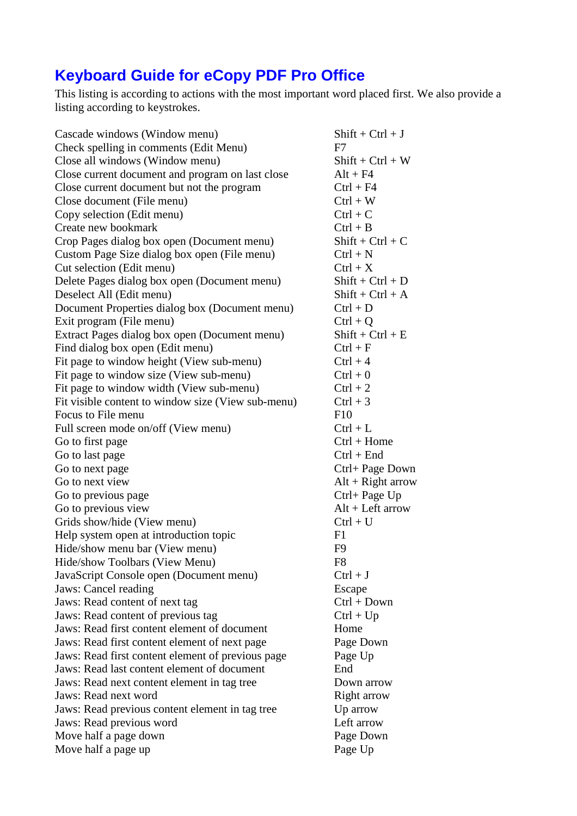## **Keyboard Guide for eCopy PDF Pro Office**

This listing is according to actions with the most important word placed first. We also provide a listing according to keystrokes.

| Cascade windows (Window menu)                      | $Shift +Ctrl + J$   |
|----------------------------------------------------|---------------------|
| Check spelling in comments (Edit Menu)             | F7                  |
| Close all windows (Window menu)                    | $Shift + Crit + W$  |
| Close current document and program on last close   | $Alt + F4$          |
| Close current document but not the program         | $Ctrl + F4$         |
| Close document (File menu)                         | $Ctrl + W$          |
| Copy selection (Edit menu)                         | $Ctrl + C$          |
| Create new bookmark                                | $Ctrl + B$          |
| Crop Pages dialog box open (Document menu)         | $Shift + Crit + C$  |
| Custom Page Size dialog box open (File menu)       | $Ctrl + N$          |
| Cut selection (Edit menu)                          | $Ctrl + X$          |
| Delete Pages dialog box open (Document menu)       | $Shift +Ctrl + D$   |
| Deselect All (Edit menu)                           | $Shift +Ctrl + A$   |
| Document Properties dialog box (Document menu)     | $Ctrl + D$          |
| Exit program (File menu)                           | $Ctrl + O$          |
| Extract Pages dialog box open (Document menu)      | $Shift + Crit + E$  |
| Find dialog box open (Edit menu)                   | $Ctrl + F$          |
| Fit page to window height (View sub-menu)          | $Ctrl + 4$          |
| Fit page to window size (View sub-menu)            | $Ctrl + 0$          |
| Fit page to window width (View sub-menu)           | $Ctrl + 2$          |
| Fit visible content to window size (View sub-menu) | $Ctrl + 3$          |
| Focus to File menu                                 | F10                 |
| Full screen mode on/off (View menu)                | $Ctrl + L$          |
| Go to first page                                   | $Ctrl + Home$       |
| Go to last page                                    | $Ctrl + End$        |
| Go to next page                                    | Ctrl+ Page Down     |
| Go to next view                                    | $Alt + Right arrow$ |
| Go to previous page                                | Ctrl+ Page Up       |
| Go to previous view                                | $Alt + Left arrow$  |
| Grids show/hide (View menu)                        | $Ctrl + U$          |
| Help system open at introduction topic             | F1                  |
| Hide/show menu bar (View menu)                     | F <sub>9</sub>      |
| Hide/show Toolbars (View Menu)                     | F8                  |
| JavaScript Console open (Document menu)            | $Ctrl + J$          |
| Jaws: Cancel reading                               | Escape              |
| Jaws: Read content of next tag                     | $Ctrl + Down$       |
| Jaws: Read content of previous tag                 | $Ctrl + Up$         |
| Jaws: Read first content element of document       | Home                |
| Jaws: Read first content element of next page      | Page Down           |
| Jaws: Read first content element of previous page  | Page Up             |
| Jaws: Read last content element of document        | End                 |
| Jaws: Read next content element in tag tree        | Down arrow          |
| Jaws: Read next word                               | Right arrow         |
| Jaws: Read previous content element in tag tree    | Up arrow            |
| Jaws: Read previous word                           | Left arrow          |
| Move half a page down                              | Page Down           |
| Move half a page up                                | Page Up             |
|                                                    |                     |